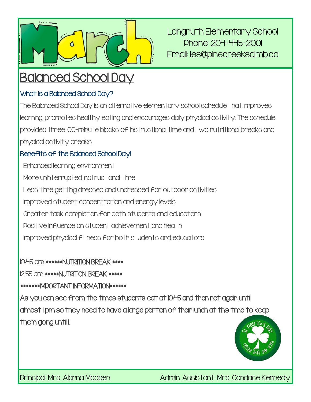

Langruth Elementary School Phone: 204-445-2001 Email: les@pinecreeksd.mb.ca

# Balanced School Day

#### What is a Balanced School Day?

The Balanced School Day is an alternative elementary school schedule that improves learning, promotes healthy eating and encourages daily physical activity. The schedule provides three 100-minute blocks of instructional time and two nutritional breaks and physical activity breaks.

#### Benefits of the Balanced School Day!

Enhanced learning environment More uninterrupted instructional time Less time getting dressed and undressed for outdoor activities Improved student concentration and energy levels Greater task completion for both students and educators Positive influence on student achievement and health Improved physical fitness for both students and educators

10:45 am \*\*\*\*\*\*NUTRITION BREAK \*\*\*\*

12:55 pm \*\*\*\*\*NUTRITION BREAK \*\*\*\*\*

\*\*\*\*\*\*\*IMPORTANT INFORMATION\*\*\*\*\*\*

As you can see from the times students eat at 10:45 and then not again until almost 1 pm so they need to have a large portion of their lunch at this time to keep them going until I.



Principal: Mrs. Alanna Madsen Admin. Assistant: Mrs. Candace Kennedy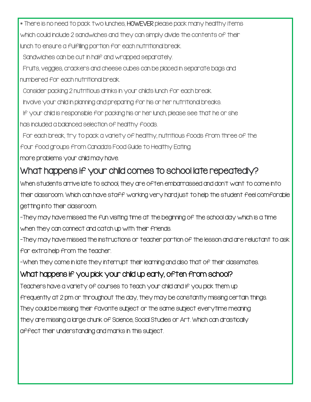\* There is no need to pack two lunches, HOWEVER please pack many healthy items which could include 2 sandwiches and they can simply divide the contents of their

lunch to ensure a fulfilling portion for each nutritional break.

Sandwiches can be cut in half and wrapped separately.

Fruits, veggies, crackers and cheese cubes can be placed in separate bags and numbered for each nutritional break.

Consider packing 2 nutritious drinks in your child's lunch for each break.

Involve your child in planning and preparing for his or her nutritional breaks.

If your child is responsible for packing his or her lunch, please see that he or she

has included a balanced selection of healthy foods.

For each break, try to pack a variety of healthy, nutritious foods from three of the

four food groups from Canada's Food Guide to Healthy Eating.

more problems your child may have.

## What happens if your child comes to school late repeatedly?

When students arrive late to school, they are often embarrassed and don't want to come into their classroom. Which can have staff working very hard just to help the student feel comforable getting into their classroom.

-They may have missed the fun visiting time at the beginning of the school day which is a time when they can connect and catch up with their friends.

-They may have missed the instructions or teacher portion of the lesson and are reluctant to ask for extra help from the teacher.

-When they come in late they interrupt their learning and also that of their classmates.

### What happens if you pick your child up early, often from school?

Teachers have a variety of courses to teach your child and if you pick them up frequently at 2 pm or throughout the day, they may be constantly missing certain things. They could be missing their favorite subject or the same subject everytime meaning they are missing a large chunk of Science, Social Studies or Art. Which can drastically affect their understanding and marks in this subject.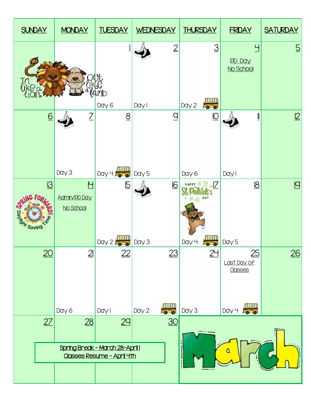